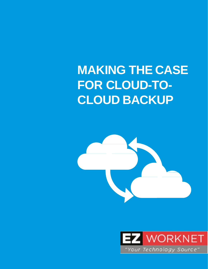# **MAKING THE CASE FOR CLOUD-TO-CLOUD BACKUP**



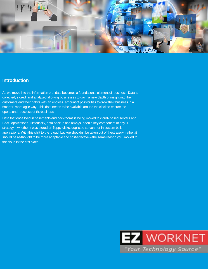

#### **Introduction**

As we move into the information era, data becomes a foundational element of business. Data is collected, stored, and analyzed allowing businesses to gain a new depth of insight into their customers and their habits with an endless amount of possibilities to grow their business in a smarter, more agile way. This data needs to be available around the clock to ensure the operational success of thebusiness.

Data that once lived in basements and backrooms is being moved to cloud- based servers and SaaS applications. Historically, data backup has always been a key component of any IT strategy – whether it was stored on floppy disks, duplicate servers, or in custom built applications. With this shift to the cloud, backup shouldn't be taken out of thestrategy; rather, it should be re-thought to be more adaptable and cost-effective – the same reason you moved to the cloud in the first place.

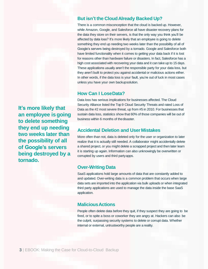## **But isn't the CloudAlready Backed Up?**

There is a common misconception that the cloud is backed up. However, while Amazon, Google, and Salesforce all have disaster recovery plans for the data they store on their servers, is that the only way you think you'll be affected by data loss? It's more likely that an employee is going to delete something they end up needing two weeks later than the possibility of all of Google's servers being destroyed by a tornado. Google and Salesforce both have limited functionality when it comes to getting your data back if it is lost for reasons other than hardware failure or disasters. In fact, Salesforce has a high cost associated with recovering your data and it can take up to 15 days. These applications usually aren't the responsible party for your data loss, but they aren't built to protect you against accidental or malicious actions either. In other words, if the data loss is your fault, you're out of luck in most cases unless you have your own backupsolution.

#### **How Can I LoseData?**

Data loss has serious implications for businesses affected. The Cloud Security Alliance listed the Top 9 Cloud Security Threats and rated Loss of Data as the #2 most severe threat, up from #5 in 2010. For businesses that sustain data loss, statistics show that 60% of those companies will be out of business within 6 months of thedisaster.

## **Accidental Deletion and User Mistakes**

More often than not, data is deleted only for the user or organization to later realize that it is actually still needed. A collaborator might accidentally delete a shared project, or you might delete a scrapped project and then later learn it is starting up again. Information can also unknowingly be overwritten or corrupted by users and third partyapps.

#### **Over-Writing Data**

SaaS applications hold large amounts of data that are constantly added to and updated. Over-writing data is a common problem that occurs when large data sets are imported into the application via bulk uploads or when integrated third party applications are used to manage the data inside the base SaaS application.

## **MaliciousActions**

People often delete data before they quit, if they suspect they are going to be fired, or to spite a boss or coworker they are angry at. Hackers can also be the culprit, surpassing security systems to delete or corrupt data. Whether internal or external, untrustworthy people are a reality.

**It's more likely that an employee isgoing to delete something they end up needing two weeks later than the possibility of all of Google's servers being destroyed by a tornado.**